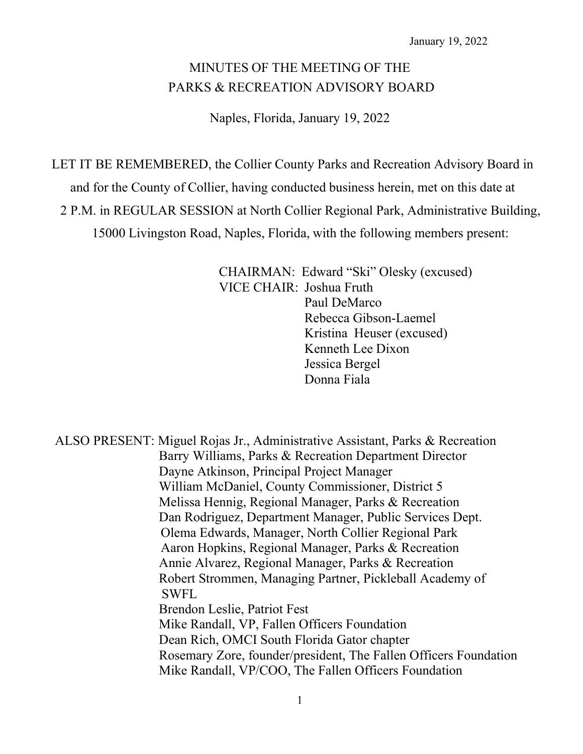# MINUTES OF THE MEETING OF THE PARKS & RECREATION ADVISORY BOARD

Naples, Florida, January 19, 2022

LET IT BE REMEMBERED, the Collier County Parks and Recreation Advisory Board in

and for the County of Collier, having conducted business herein, met on this date at

2 P.M. in REGULAR SESSION at North Collier Regional Park, Administrative Building,

15000 Livingston Road, Naples, Florida, with the following members present:

CHAIRMAN: Edward "Ski" Olesky (excused) VICE CHAIR: Joshua Fruth Paul DeMarco

Rebecca Gibson-Laemel Kristina Heuser (excused) Kenneth Lee Dixon Jessica Bergel Donna Fiala

ALSO PRESENT: Miguel Rojas Jr., Administrative Assistant, Parks & Recreation Barry Williams, Parks & Recreation Department Director Dayne Atkinson, Principal Project Manager William McDaniel, County Commissioner, District 5 Melissa Hennig, Regional Manager, Parks & Recreation Dan Rodriguez, Department Manager, Public Services Dept. Olema Edwards, Manager, North Collier Regional Park Aaron Hopkins, Regional Manager, Parks & Recreation Annie Alvarez, Regional Manager, Parks & Recreation Robert Strommen, Managing Partner, Pickleball Academy of SWFL Brendon Leslie, Patriot Fest Mike Randall, VP, Fallen Officers Foundation Dean Rich, OMCI South Florida Gator chapter Rosemary Zore, founder/president, The Fallen Officers Foundation Mike Randall, VP/COO, The Fallen Officers Foundation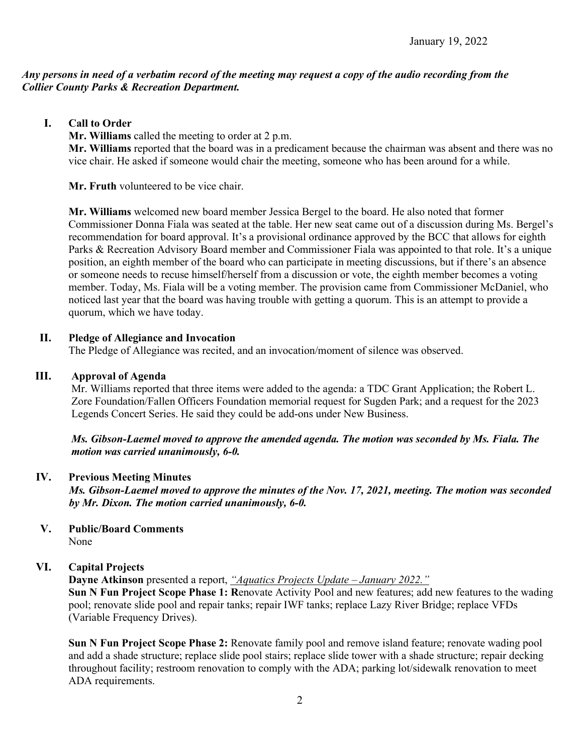# *Any persons in need of a verbatim record of the meeting may request a copy of the audio recording from the Collier County Parks & Recreation Department.*

**I. Call to Order**

**Mr. Williams** called the meeting to order at 2 p.m.

**Mr. Williams** reported that the board was in a predicament because the chairman was absent and there was no vice chair. He asked if someone would chair the meeting, someone who has been around for a while.

**Mr. Fruth** volunteered to be vice chair.

**Mr. Williams** welcomed new board member Jessica Bergel to the board. He also noted that former Commissioner Donna Fiala was seated at the table. Her new seat came out of a discussion during Ms. Bergel's recommendation for board approval. It's a provisional ordinance approved by the BCC that allows for eighth Parks & Recreation Advisory Board member and Commissioner Fiala was appointed to that role. It's a unique position, an eighth member of the board who can participate in meeting discussions, but if there's an absence or someone needs to recuse himself/herself from a discussion or vote, the eighth member becomes a voting member. Today, Ms. Fiala will be a voting member. The provision came from Commissioner McDaniel, who noticed last year that the board was having trouble with getting a quorum. This is an attempt to provide a quorum, which we have today.

# **II. Pledge of Allegiance and Invocation**

The Pledge of Allegiance was recited, and an invocation/moment of silence was observed.

#### **III. Approval of Agenda**

Mr. Williams reported that three items were added to the agenda: a TDC Grant Application; the Robert L. Zore Foundation/Fallen Officers Foundation memorial request for Sugden Park; and a request for the 2023 Legends Concert Series. He said they could be add-ons under New Business.

*Ms. Gibson-Laemel moved to approve the amended agenda. The motion was seconded by Ms. Fiala. The motion was carried unanimously, 6-0.*

# **IV. Previous Meeting Minutes**

*Ms. Gibson-Laemel moved to approve the minutes of the Nov. 17, 2021, meeting. The motion was seconded by Mr. Dixon. The motion carried unanimously, 6-0.*

**V. Public/Board Comments** None

# **VI. Capital Projects**

**Dayne Atkinson** presented a report, *"Aquatics Projects Update – January 2022."*

**Sun N Fun Project Scope Phase 1: R**enovate Activity Pool and new features; add new features to the wading pool; renovate slide pool and repair tanks; repair IWF tanks; replace Lazy River Bridge; replace VFDs (Variable Frequency Drives).

**Sun N Fun Project Scope Phase 2:** Renovate family pool and remove island feature; renovate wading pool and add a shade structure; replace slide pool stairs; replace slide tower with a shade structure; repair decking throughout facility; restroom renovation to comply with the ADA; parking lot/sidewalk renovation to meet ADA requirements.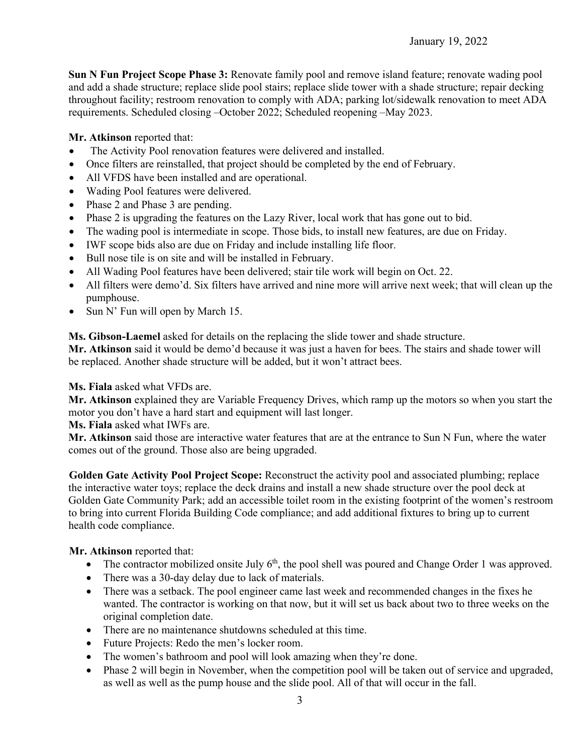# January 19, 2022

**Sun N Fun Project Scope Phase 3:** Renovate family pool and remove island feature; renovate wading pool and add a shade structure; replace slide pool stairs; replace slide tower with a shade structure; repair decking throughout facility; restroom renovation to comply with ADA; parking lot/sidewalk renovation to meet ADA requirements. Scheduled closing –October 2022; Scheduled reopening –May 2023.

#### **Mr. Atkinson** reported that:

- The Activity Pool renovation features were delivered and installed.
- Once filters are reinstalled, that project should be completed by the end of February.
- All VFDS have been installed and are operational.
- Wading Pool features were delivered.
- Phase 2 and Phase 3 are pending.
- Phase 2 is upgrading the features on the Lazy River, local work that has gone out to bid.
- The wading pool is intermediate in scope. Those bids, to install new features, are due on Friday.
- IWF scope bids also are due on Friday and include installing life floor.
- Bull nose tile is on site and will be installed in February.
- All Wading Pool features have been delivered; stair tile work will begin on Oct. 22.
- All filters were demo'd. Six filters have arrived and nine more will arrive next week; that will clean up the pumphouse.
- Sun N' Fun will open by March 15.

**Ms. Gibson-Laemel** asked for details on the replacing the slide tower and shade structure.

**Mr. Atkinson** said it would be demo'd because it was just a haven for bees. The stairs and shade tower will be replaced. Another shade structure will be added, but it won't attract bees.

**Ms. Fiala** asked what VFDs are.

**Mr. Atkinson** explained they are Variable Frequency Drives, which ramp up the motors so when you start the motor you don't have a hard start and equipment will last longer.

**Ms. Fiala** asked what IWFs are.

**Mr. Atkinson** said those are interactive water features that are at the entrance to Sun N Fun, where the water comes out of the ground. Those also are being upgraded.

**Golden Gate Activity Pool Project Scope:** Reconstruct the activity pool and associated plumbing; replace the interactive water toys; replace the deck drains and install a new shade structure over the pool deck at Golden Gate Community Park; add an accessible toilet room in the existing footprint of the women's restroom to bring into current Florida Building Code compliance; and add additional fixtures to bring up to current health code compliance.

# **Mr. Atkinson** reported that:

- The contractor mobilized onsite July  $6<sup>th</sup>$ , the pool shell was poured and Change Order 1 was approved.
- There was a 30-day delay due to lack of materials.
- There was a setback. The pool engineer came last week and recommended changes in the fixes he wanted. The contractor is working on that now, but it will set us back about two to three weeks on the original completion date.
- There are no maintenance shutdowns scheduled at this time.
- Future Projects: Redo the men's locker room.
- The women's bathroom and pool will look amazing when they're done.
- Phase 2 will begin in November, when the competition pool will be taken out of service and upgraded, as well as well as the pump house and the slide pool. All of that will occur in the fall.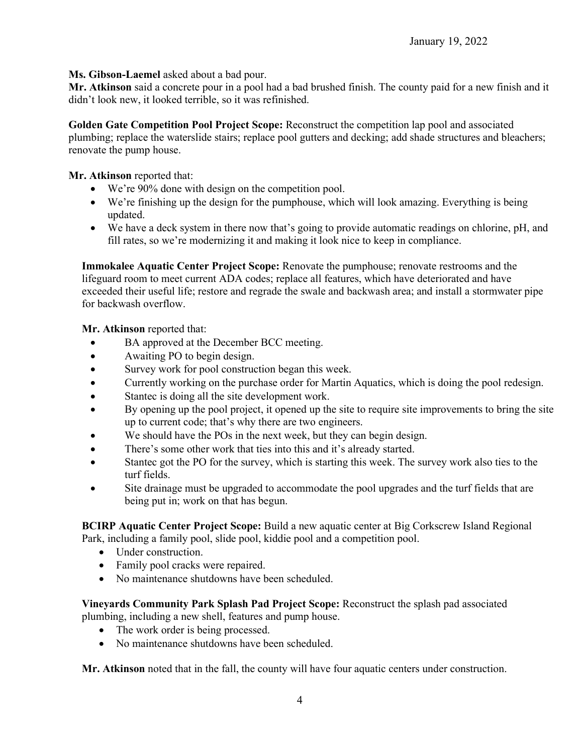**Ms. Gibson-Laemel** asked about a bad pour.

**Mr. Atkinson** said a concrete pour in a pool had a bad brushed finish. The county paid for a new finish and it didn't look new, it looked terrible, so it was refinished.

**Golden Gate Competition Pool Project Scope:** Reconstruct the competition lap pool and associated plumbing; replace the waterslide stairs; replace pool gutters and decking; add shade structures and bleachers; renovate the pump house.

**Mr. Atkinson** reported that:

- We're 90% done with design on the competition pool.
- We're finishing up the design for the pumphouse, which will look amazing. Everything is being updated.
- We have a deck system in there now that's going to provide automatic readings on chlorine, pH, and fill rates, so we're modernizing it and making it look nice to keep in compliance.

**Immokalee Aquatic Center Project Scope:** Renovate the pumphouse; renovate restrooms and the lifeguard room to meet current ADA codes; replace all features, which have deteriorated and have exceeded their useful life; restore and regrade the swale and backwash area; and install a stormwater pipe for backwash overflow.

**Mr. Atkinson** reported that:

- BA approved at the December BCC meeting.
- Awaiting PO to begin design.
- Survey work for pool construction began this week.
- Currently working on the purchase order for Martin Aquatics, which is doing the pool redesign.
- Stantec is doing all the site development work.
- By opening up the pool project, it opened up the site to require site improvements to bring the site up to current code; that's why there are two engineers.
- We should have the POs in the next week, but they can begin design.
- There's some other work that ties into this and it's already started.
- Stantec got the PO for the survey, which is starting this week. The survey work also ties to the turf fields.
- Site drainage must be upgraded to accommodate the pool upgrades and the turf fields that are being put in; work on that has begun.

**BCIRP Aquatic Center Project Scope:** Build a new aquatic center at Big Corkscrew Island Regional Park, including a family pool, slide pool, kiddie pool and a competition pool.

- Under construction.
- Family pool cracks were repaired.
- No maintenance shutdowns have been scheduled.

**Vineyards Community Park Splash Pad Project Scope:** Reconstruct the splash pad associated plumbing, including a new shell, features and pump house.

- The work order is being processed.
- No maintenance shutdowns have been scheduled.

**Mr. Atkinson** noted that in the fall, the county will have four aquatic centers under construction.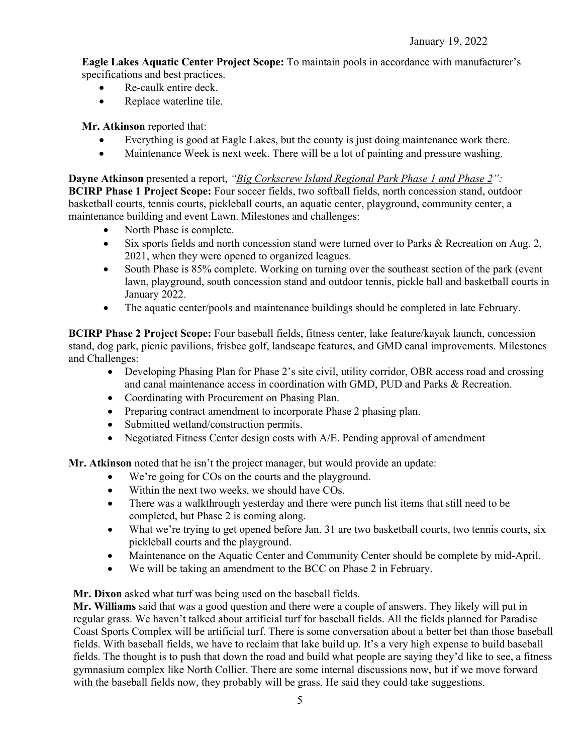**Eagle Lakes Aquatic Center Project Scope:** To maintain pools in accordance with manufacturer's specifications and best practices.

- Re-caulk entire deck.
- Replace waterline tile.

**Mr. Atkinson** reported that:

- Everything is good at Eagle Lakes, but the county is just doing maintenance work there.
- Maintenance Week is next week. There will be a lot of painting and pressure washing.

**Dayne Atkinson** presented a report, *"Big Corkscrew Island Regional Park Phase 1 and Phase 2":* **BCIRP Phase 1 Project Scope:** Four soccer fields, two softball fields, north concession stand, outdoor basketball courts, tennis courts, pickleball courts, an aquatic center, playground, community center, a maintenance building and event Lawn. Milestones and challenges:

- North Phase is complete.
- Six sports fields and north concession stand were turned over to Parks & Recreation on Aug. 2, 2021, when they were opened to organized leagues.
- South Phase is 85% complete. Working on turning over the southeast section of the park (event lawn, playground, south concession stand and outdoor tennis, pickle ball and basketball courts in January 2022.
- The aquatic center/pools and maintenance buildings should be completed in late February.

**BCIRP Phase 2 Project Scope:** Four baseball fields, fitness center, lake feature/kayak launch, concession stand, dog park, picnic pavilions, frisbee golf, landscape features, and GMD canal improvements. Milestones and Challenges:

- Developing Phasing Plan for Phase 2's site civil, utility corridor, OBR access road and crossing and canal maintenance access in coordination with GMD, PUD and Parks & Recreation.
- Coordinating with Procurement on Phasing Plan.
- Preparing contract amendment to incorporate Phase 2 phasing plan.
- Submitted wetland/construction permits.
- Negotiated Fitness Center design costs with A/E. Pending approval of amendment

**Mr. Atkinson** noted that he isn't the project manager, but would provide an update:

- We're going for COs on the courts and the playground.
- Within the next two weeks, we should have COs.
- There was a walkthrough yesterday and there were punch list items that still need to be completed, but Phase 2 is coming along.
- What we're trying to get opened before Jan. 31 are two basketball courts, two tennis courts, six pickleball courts and the playground.
- Maintenance on the Aquatic Center and Community Center should be complete by mid-April.
- We will be taking an amendment to the BCC on Phase 2 in February.

**Mr. Dixon** asked what turf was being used on the baseball fields.

**Mr. Williams** said that was a good question and there were a couple of answers. They likely will put in regular grass. We haven't talked about artificial turf for baseball fields. All the fields planned for Paradise Coast Sports Complex will be artificial turf. There is some conversation about a better bet than those baseball fields. With baseball fields, we have to reclaim that lake build up. It's a very high expense to build baseball fields. The thought is to push that down the road and build what people are saying they'd like to see, a fitness gymnasium complex like North Collier. There are some internal discussions now, but if we move forward with the baseball fields now, they probably will be grass. He said they could take suggestions.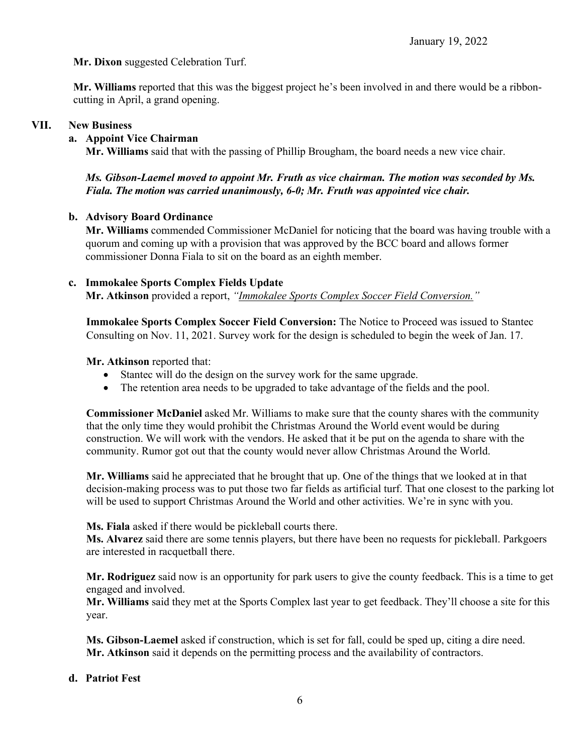**Mr. Dixon** suggested Celebration Turf.

**Mr. Williams** reported that this was the biggest project he's been involved in and there would be a ribboncutting in April, a grand opening.

#### **VII. New Business**

#### **a. Appoint Vice Chairman**

**Mr. Williams** said that with the passing of Phillip Brougham, the board needs a new vice chair.

# *Ms. Gibson-Laemel moved to appoint Mr. Fruth as vice chairman. The motion was seconded by Ms. Fiala. The motion was carried unanimously, 6-0; Mr. Fruth was appointed vice chair.*

#### **b. Advisory Board Ordinance**

**Mr. Williams** commended Commissioner McDaniel for noticing that the board was having trouble with a quorum and coming up with a provision that was approved by the BCC board and allows former commissioner Donna Fiala to sit on the board as an eighth member.

#### **c. Immokalee Sports Complex Fields Update**

**Mr. Atkinson** provided a report, *"Immokalee Sports Complex Soccer Field Conversion."*

**Immokalee Sports Complex Soccer Field Conversion:** The Notice to Proceed was issued to Stantec Consulting on Nov. 11, 2021. Survey work for the design is scheduled to begin the week of Jan. 17.

**Mr. Atkinson** reported that:

- Stantec will do the design on the survey work for the same upgrade.
- The retention area needs to be upgraded to take advantage of the fields and the pool.

**Commissioner McDaniel** asked Mr. Williams to make sure that the county shares with the community that the only time they would prohibit the Christmas Around the World event would be during construction. We will work with the vendors. He asked that it be put on the agenda to share with the community. Rumor got out that the county would never allow Christmas Around the World.

**Mr. Williams** said he appreciated that he brought that up. One of the things that we looked at in that decision-making process was to put those two far fields as artificial turf. That one closest to the parking lot will be used to support Christmas Around the World and other activities. We're in sync with you.

**Ms. Fiala** asked if there would be pickleball courts there.

**Ms. Alvarez** said there are some tennis players, but there have been no requests for pickleball. Parkgoers are interested in racquetball there.

**Mr. Rodriguez** said now is an opportunity for park users to give the county feedback. This is a time to get engaged and involved.

**Mr. Williams** said they met at the Sports Complex last year to get feedback. They'll choose a site for this year.

**Ms. Gibson-Laemel** asked if construction, which is set for fall, could be sped up, citing a dire need. **Mr. Atkinson** said it depends on the permitting process and the availability of contractors.

#### **d. Patriot Fest**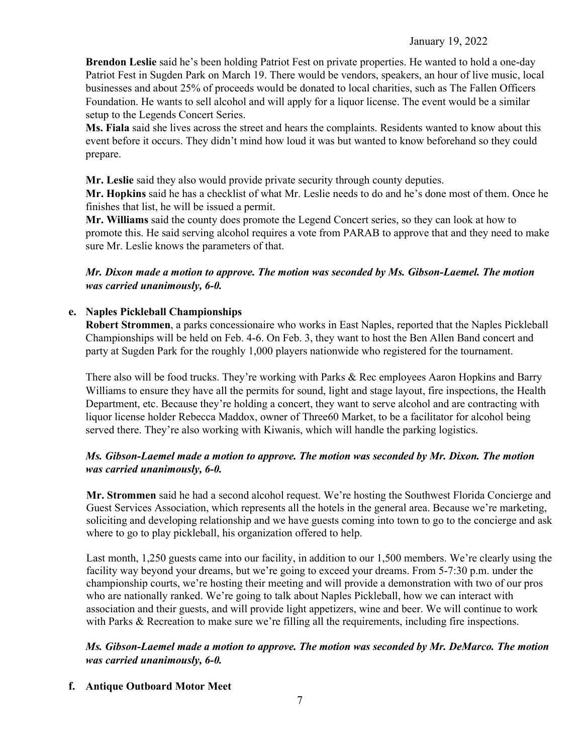**Brendon Leslie** said he's been holding Patriot Fest on private properties. He wanted to hold a one-day Patriot Fest in Sugden Park on March 19. There would be vendors, speakers, an hour of live music, local businesses and about 25% of proceeds would be donated to local charities, such as The Fallen Officers Foundation. He wants to sell alcohol and will apply for a liquor license. The event would be a similar setup to the Legends Concert Series.

**Ms. Fiala** said she lives across the street and hears the complaints. Residents wanted to know about this event before it occurs. They didn't mind how loud it was but wanted to know beforehand so they could prepare.

**Mr. Leslie** said they also would provide private security through county deputies.

**Mr. Hopkins** said he has a checklist of what Mr. Leslie needs to do and he's done most of them. Once he finishes that list, he will be issued a permit.

**Mr. Williams** said the county does promote the Legend Concert series, so they can look at how to promote this. He said serving alcohol requires a vote from PARAB to approve that and they need to make sure Mr. Leslie knows the parameters of that.

# *Mr. Dixon made a motion to approve. The motion was seconded by Ms. Gibson-Laemel. The motion was carried unanimously, 6-0.*

# **e. Naples Pickleball Championships**

**Robert Strommen**, a parks concessionaire who works in East Naples, reported that the Naples Pickleball Championships will be held on Feb. 4-6. On Feb. 3, they want to host the Ben Allen Band concert and party at Sugden Park for the roughly 1,000 players nationwide who registered for the tournament.

There also will be food trucks. They're working with Parks & Rec employees Aaron Hopkins and Barry Williams to ensure they have all the permits for sound, light and stage layout, fire inspections, the Health Department, etc. Because they're holding a concert, they want to serve alcohol and are contracting with liquor license holder Rebecca Maddox, owner of Three60 Market, to be a facilitator for alcohol being served there. They're also working with Kiwanis, which will handle the parking logistics.

# *Ms. Gibson-Laemel made a motion to approve. The motion was seconded by Mr. Dixon. The motion was carried unanimously, 6-0.*

**Mr. Strommen** said he had a second alcohol request. We're hosting the Southwest Florida Concierge and Guest Services Association, which represents all the hotels in the general area. Because we're marketing, soliciting and developing relationship and we have guests coming into town to go to the concierge and ask where to go to play pickleball, his organization offered to help.

Last month, 1,250 guests came into our facility, in addition to our 1,500 members. We're clearly using the facility way beyond your dreams, but we're going to exceed your dreams. From 5-7:30 p.m. under the championship courts, we're hosting their meeting and will provide a demonstration with two of our pros who are nationally ranked. We're going to talk about Naples Pickleball, how we can interact with association and their guests, and will provide light appetizers, wine and beer. We will continue to work with Parks & Recreation to make sure we're filling all the requirements, including fire inspections.

*Ms. Gibson-Laemel made a motion to approve. The motion was seconded by Mr. DeMarco. The motion was carried unanimously, 6-0.*

# **f. Antique Outboard Motor Meet**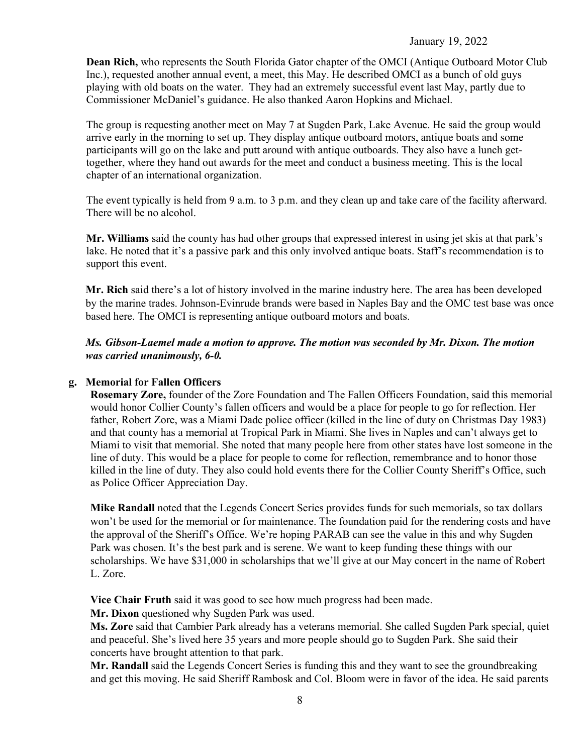#### January 19, 2022

**Dean Rich,** who represents the South Florida Gator chapter of the OMCI (Antique Outboard Motor Club Inc.), requested another annual event, a meet, this May. He described OMCI as a bunch of old guys playing with old boats on the water. They had an extremely successful event last May, partly due to Commissioner McDaniel's guidance. He also thanked Aaron Hopkins and Michael.

The group is requesting another meet on May 7 at Sugden Park, Lake Avenue. He said the group would arrive early in the morning to set up. They display antique outboard motors, antique boats and some participants will go on the lake and putt around with antique outboards. They also have a lunch gettogether, where they hand out awards for the meet and conduct a business meeting. This is the local chapter of an international organization.

The event typically is held from 9 a.m. to 3 p.m. and they clean up and take care of the facility afterward. There will be no alcohol.

**Mr. Williams** said the county has had other groups that expressed interest in using jet skis at that park's lake. He noted that it's a passive park and this only involved antique boats. Staff's recommendation is to support this event.

**Mr. Rich** said there's a lot of history involved in the marine industry here. The area has been developed by the marine trades. Johnson-Evinrude brands were based in Naples Bay and the OMC test base was once based here. The OMCI is representing antique outboard motors and boats.

*Ms. Gibson-Laemel made a motion to approve. The motion was seconded by Mr. Dixon. The motion was carried unanimously, 6-0.*

#### **g. Memorial for Fallen Officers**

**Rosemary Zore,** founder of the Zore Foundation and The Fallen Officers Foundation, said this memorial would honor Collier County's fallen officers and would be a place for people to go for reflection. Her father, Robert Zore, was a Miami Dade police officer (killed in the line of duty on Christmas Day 1983) and that county has a memorial at Tropical Park in Miami. She lives in Naples and can't always get to Miami to visit that memorial. She noted that many people here from other states have lost someone in the line of duty. This would be a place for people to come for reflection, remembrance and to honor those killed in the line of duty. They also could hold events there for the Collier County Sheriff's Office, such as Police Officer Appreciation Day.

**Mike Randall** noted that the Legends Concert Series provides funds for such memorials, so tax dollars won't be used for the memorial or for maintenance. The foundation paid for the rendering costs and have the approval of the Sheriff's Office. We're hoping PARAB can see the value in this and why Sugden Park was chosen. It's the best park and is serene. We want to keep funding these things with our scholarships. We have \$31,000 in scholarships that we'll give at our May concert in the name of Robert L. Zore.

**Vice Chair Fruth** said it was good to see how much progress had been made.

**Mr. Dixon** questioned why Sugden Park was used.

**Ms. Zore** said that Cambier Park already has a veterans memorial. She called Sugden Park special, quiet and peaceful. She's lived here 35 years and more people should go to Sugden Park. She said their concerts have brought attention to that park.

**Mr. Randall** said the Legends Concert Series is funding this and they want to see the groundbreaking and get this moving. He said Sheriff Rambosk and Col. Bloom were in favor of the idea. He said parents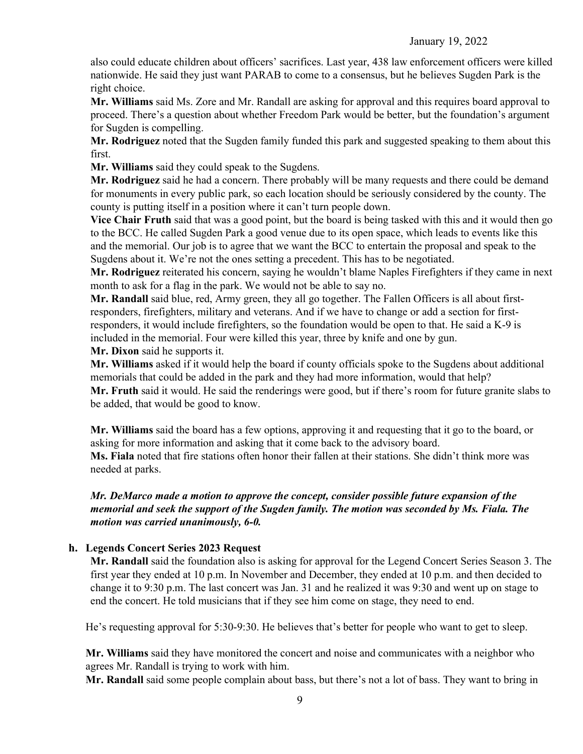also could educate children about officers' sacrifices. Last year, 438 law enforcement officers were killed nationwide. He said they just want PARAB to come to a consensus, but he believes Sugden Park is the right choice.

**Mr. Williams** said Ms. Zore and Mr. Randall are asking for approval and this requires board approval to proceed. There's a question about whether Freedom Park would be better, but the foundation's argument for Sugden is compelling.

**Mr. Rodriguez** noted that the Sugden family funded this park and suggested speaking to them about this first.

**Mr. Williams** said they could speak to the Sugdens.

**Mr. Rodriguez** said he had a concern. There probably will be many requests and there could be demand for monuments in every public park, so each location should be seriously considered by the county. The county is putting itself in a position where it can't turn people down.

**Vice Chair Fruth** said that was a good point, but the board is being tasked with this and it would then go to the BCC. He called Sugden Park a good venue due to its open space, which leads to events like this and the memorial. Our job is to agree that we want the BCC to entertain the proposal and speak to the Sugdens about it. We're not the ones setting a precedent. This has to be negotiated.

**Mr. Rodriguez** reiterated his concern, saying he wouldn't blame Naples Firefighters if they came in next month to ask for a flag in the park. We would not be able to say no.

**Mr. Randall** said blue, red, Army green, they all go together. The Fallen Officers is all about firstresponders, firefighters, military and veterans. And if we have to change or add a section for firstresponders, it would include firefighters, so the foundation would be open to that. He said a K-9 is included in the memorial. Four were killed this year, three by knife and one by gun.

**Mr. Dixon** said he supports it.

**Mr. Williams** asked if it would help the board if county officials spoke to the Sugdens about additional memorials that could be added in the park and they had more information, would that help? **Mr. Fruth** said it would. He said the renderings were good, but if there's room for future granite slabs to be added, that would be good to know.

**Mr. Williams** said the board has a few options, approving it and requesting that it go to the board, or asking for more information and asking that it come back to the advisory board.

**Ms. Fiala** noted that fire stations often honor their fallen at their stations. She didn't think more was needed at parks.

# *Mr. DeMarco made a motion to approve the concept, consider possible future expansion of the memorial and seek the support of the Sugden family. The motion was seconded by Ms. Fiala. The motion was carried unanimously, 6-0.*

# **h. Legends Concert Series 2023 Request**

**Mr. Randall** said the foundation also is asking for approval for the Legend Concert Series Season 3. The first year they ended at 10 p.m. In November and December, they ended at 10 p.m. and then decided to change it to 9:30 p.m. The last concert was Jan. 31 and he realized it was 9:30 and went up on stage to end the concert. He told musicians that if they see him come on stage, they need to end.

He's requesting approval for 5:30-9:30. He believes that's better for people who want to get to sleep.

**Mr. Williams** said they have monitored the concert and noise and communicates with a neighbor who agrees Mr. Randall is trying to work with him.

**Mr. Randall** said some people complain about bass, but there's not a lot of bass. They want to bring in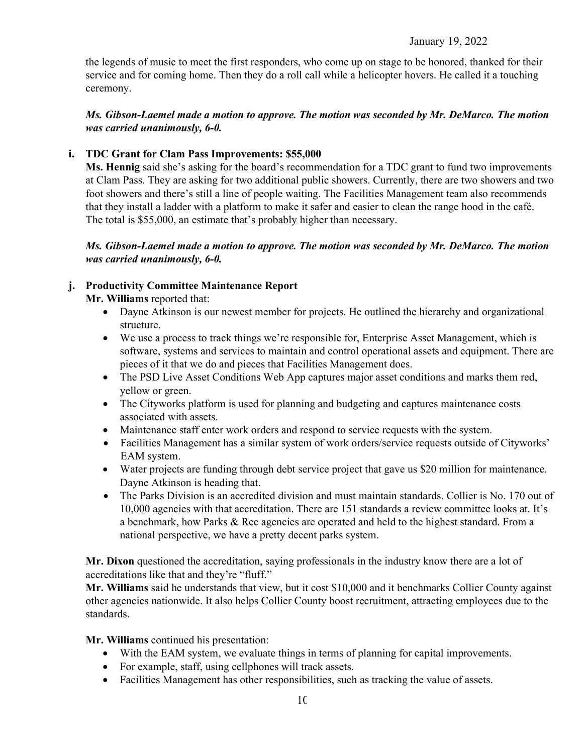the legends of music to meet the first responders, who come up on stage to be honored, thanked for their service and for coming home. Then they do a roll call while a helicopter hovers. He called it a touching ceremony.

# *Ms. Gibson-Laemel made a motion to approve. The motion was seconded by Mr. DeMarco. The motion was carried unanimously, 6-0.*

# **i. TDC Grant for Clam Pass Improvements: \$55,000**

**Ms. Hennig** said she's asking for the board's recommendation for a TDC grant to fund two improvements at Clam Pass. They are asking for two additional public showers. Currently, there are two showers and two foot showers and there's still a line of people waiting. The Facilities Management team also recommends that they install a ladder with a platform to make it safer and easier to clean the range hood in the café. The total is \$55,000, an estimate that's probably higher than necessary.

# *Ms. Gibson-Laemel made a motion to approve. The motion was seconded by Mr. DeMarco. The motion was carried unanimously, 6-0.*

# **j. Productivity Committee Maintenance Report**

**Mr. Williams** reported that:

- Dayne Atkinson is our newest member for projects. He outlined the hierarchy and organizational structure.
- We use a process to track things we're responsible for, Enterprise Asset Management, which is software, systems and services to maintain and control operational assets and equipment. There are pieces of it that we do and pieces that Facilities Management does.
- The PSD Live Asset Conditions Web App captures major asset conditions and marks them red, yellow or green.
- The Cityworks platform is used for planning and budgeting and captures maintenance costs associated with assets.
- Maintenance staff enter work orders and respond to service requests with the system.
- Facilities Management has a similar system of work orders/service requests outside of Cityworks' EAM system.
- Water projects are funding through debt service project that gave us \$20 million for maintenance. Dayne Atkinson is heading that.
- The Parks Division is an accredited division and must maintain standards. Collier is No. 170 out of 10,000 agencies with that accreditation. There are 151 standards a review committee looks at. It's a benchmark, how Parks & Rec agencies are operated and held to the highest standard. From a national perspective, we have a pretty decent parks system.

**Mr. Dixon** questioned the accreditation, saying professionals in the industry know there are a lot of accreditations like that and they're "fluff."

**Mr. Williams** said he understands that view, but it cost \$10,000 and it benchmarks Collier County against other agencies nationwide. It also helps Collier County boost recruitment, attracting employees due to the standards.

**Mr. Williams** continued his presentation:

- With the EAM system, we evaluate things in terms of planning for capital improvements.
- For example, staff, using cellphones will track assets.
- Facilities Management has other responsibilities, such as tracking the value of assets.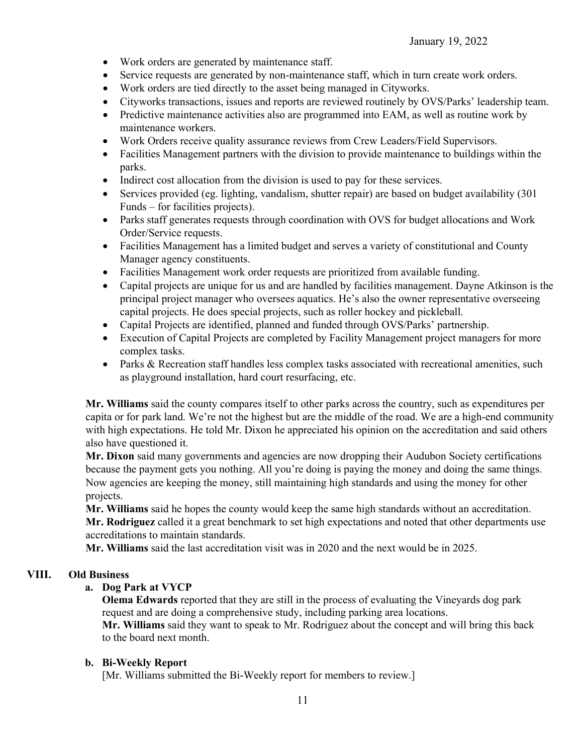- Work orders are generated by maintenance staff.
- Service requests are generated by non-maintenance staff, which in turn create work orders.
- Work orders are tied directly to the asset being managed in Cityworks.
- Cityworks transactions, issues and reports are reviewed routinely by OVS/Parks' leadership team.
- Predictive maintenance activities also are programmed into EAM, as well as routine work by maintenance workers.
- Work Orders receive quality assurance reviews from Crew Leaders/Field Supervisors.
- Facilities Management partners with the division to provide maintenance to buildings within the parks.
- Indirect cost allocation from the division is used to pay for these services.
- Services provided (eg. lighting, vandalism, shutter repair) are based on budget availability (301 Funds – for facilities projects).
- Parks staff generates requests through coordination with OVS for budget allocations and Work Order/Service requests.
- Facilities Management has a limited budget and serves a variety of constitutional and County Manager agency constituents.
- Facilities Management work order requests are prioritized from available funding.
- Capital projects are unique for us and are handled by facilities management. Dayne Atkinson is the principal project manager who oversees aquatics. He's also the owner representative overseeing capital projects. He does special projects, such as roller hockey and pickleball.
- Capital Projects are identified, planned and funded through OVS/Parks' partnership.
- Execution of Capital Projects are completed by Facility Management project managers for more complex tasks.
- Parks & Recreation staff handles less complex tasks associated with recreational amenities, such as playground installation, hard court resurfacing, etc.

**Mr. Williams** said the county compares itself to other parks across the country, such as expenditures per capita or for park land. We're not the highest but are the middle of the road. We are a high-end community with high expectations. He told Mr. Dixon he appreciated his opinion on the accreditation and said others also have questioned it.

**Mr. Dixon** said many governments and agencies are now dropping their Audubon Society certifications because the payment gets you nothing. All you're doing is paying the money and doing the same things. Now agencies are keeping the money, still maintaining high standards and using the money for other projects.

**Mr. Williams** said he hopes the county would keep the same high standards without an accreditation. **Mr. Rodriguez** called it a great benchmark to set high expectations and noted that other departments use accreditations to maintain standards.

**Mr. Williams** said the last accreditation visit was in 2020 and the next would be in 2025.

# **VIII. Old Business**

# **a. Dog Park at VYCP**

**Olema Edwards** reported that they are still in the process of evaluating the Vineyards dog park request and are doing a comprehensive study, including parking area locations.

**Mr. Williams** said they want to speak to Mr. Rodriguez about the concept and will bring this back to the board next month.

# **b. Bi-Weekly Report**

[Mr. Williams submitted the Bi-Weekly report for members to review.]